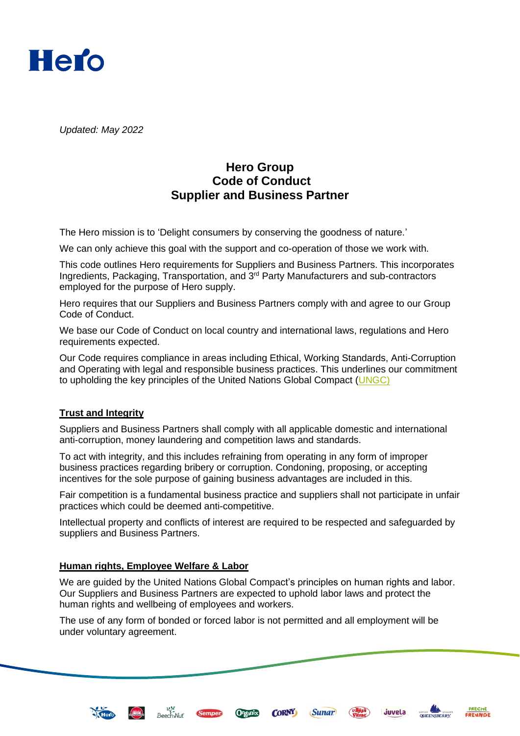

*Updated: May 2022*

# **Hero Group Code of Conduct Supplier and Business Partner**

The Hero mission is to 'Delight consumers by conserving the goodness of nature.'

We can only achieve this goal with the support and co-operation of those we work with.

This code outlines Hero requirements for Suppliers and Business Partners. This incorporates Ingredients, Packaging, Transportation, and 3<sup>rd</sup> Party Manufacturers and sub-contractors employed for the purpose of Hero supply.

Hero requires that our Suppliers and Business Partners comply with and agree to our Group Code of Conduct.

We base our Code of Conduct on local country and international laws, regulations and Hero requirements expected.

Our Code requires compliance in areas including Ethical, Working Standards, Anti-Corruption and Operating with legal and responsible business practices. This underlines our commitment to upholding the key principles of the United Nations Global Compact [\(UNGC\)](http://www.unglobalcompact.org/AboutTheGC/TheTenPrinciples/humanRights.html)

## **Trust and Integrity**

Suppliers and Business Partners shall comply with all applicable domestic and international anti-corruption, money laundering and competition laws and standards.

To act with integrity, and this includes refraining from operating in any form of improper business practices regarding bribery or corruption. Condoning, proposing, or accepting incentives for the sole purpose of gaining business advantages are included in this.

Fair competition is a fundamental business practice and suppliers shall not participate in unfair practices which could be deemed anti-competitive.

Intellectual property and conflicts of interest are required to be respected and safeguarded by suppliers and Business Partners.

#### **Human rights, Employee Welfare & Labor**

este<br>Beech-Nut

**Sempe** 

ESCRIPTION

We are guided by the United Nations Global Compact's principles on human rights and labor. Our Suppliers and Business Partners are expected to uphold labor laws and protect the human rights and wellbeing of employees and workers.

**CORNY** 

(Sunar)

The use of any form of bonded or forced labor is not permitted and all employment will be under voluntary agreement.





juvela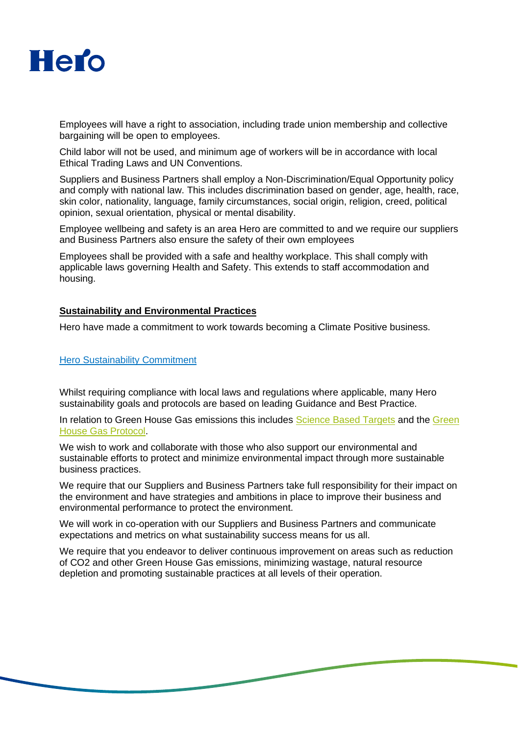

Employees will have a right to association, including trade union membership and collective bargaining will be open to employees.

Child labor will not be used, and minimum age of workers will be in accordance with local Ethical Trading Laws and UN Conventions.

Suppliers and Business Partners shall employ a Non-Discrimination/Equal Opportunity policy and comply with national law. This includes discrimination based on gender, age, health, race, skin color, nationality, language, family circumstances, social origin, religion, creed, political opinion, sexual orientation, physical or mental disability.

Employee wellbeing and safety is an area Hero are committed to and we require our suppliers and Business Partners also ensure the safety of their own employees

Employees shall be provided with a safe and healthy workplace. This shall comply with applicable laws governing Health and Safety. This extends to staff accommodation and housing.

#### **Sustainability and Environmental Practices**

Hero have made a commitment to work towards becoming a Climate Positive business.

## [Hero Sustainability Commitment](https://www.hero-group.ch/sustainability-commitment)

Whilst requiring compliance with local laws and regulations where applicable, many Hero sustainability goals and protocols are based on leading Guidance and Best Practice.

In relation to Green House Gas emissions this includes [Science Based Targets](https://sciencebasedtargets.org/) and the Green [House Gas Protocol.](https://ghgprotocol.org/?msclkid=1a54559eb02211eca78c98f0ae760aca)

We wish to work and collaborate with those who also support our environmental and sustainable efforts to protect and minimize environmental impact through more sustainable business practices.

We require that our Suppliers and Business Partners take full responsibility for their impact on the environment and have strategies and ambitions in place to improve their business and environmental performance to protect the environment.

We will work in co-operation with our Suppliers and Business Partners and communicate expectations and metrics on what sustainability success means for us all.

We require that you endeavor to deliver continuous improvement on areas such as reduction of CO2 and other Green House Gas emissions, minimizing wastage, natural resource depletion and promoting sustainable practices at all levels of their operation.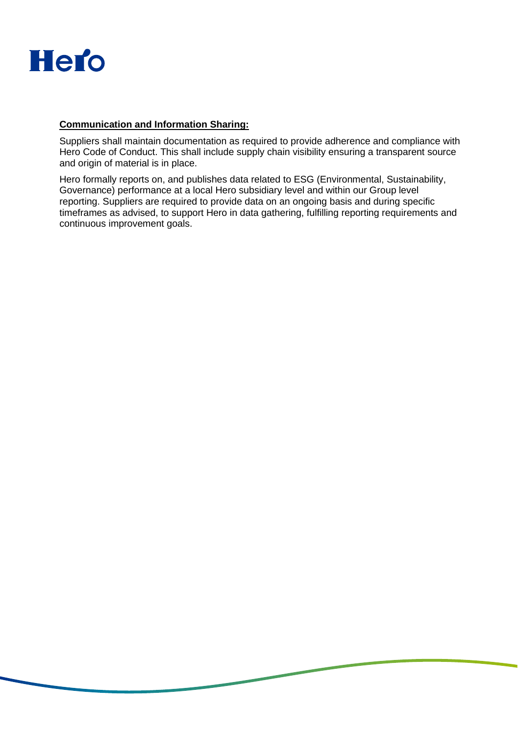

## **Communication and Information Sharing:**

Suppliers shall maintain documentation as required to provide adherence and compliance with Hero Code of Conduct. This shall include supply chain visibility ensuring a transparent source and origin of material is in place.

Hero formally reports on, and publishes data related to ESG (Environmental, Sustainability, Governance) performance at a local Hero subsidiary level and within our Group level reporting. Suppliers are required to provide data on an ongoing basis and during specific timeframes as advised, to support Hero in data gathering, fulfilling reporting requirements and continuous improvement goals.